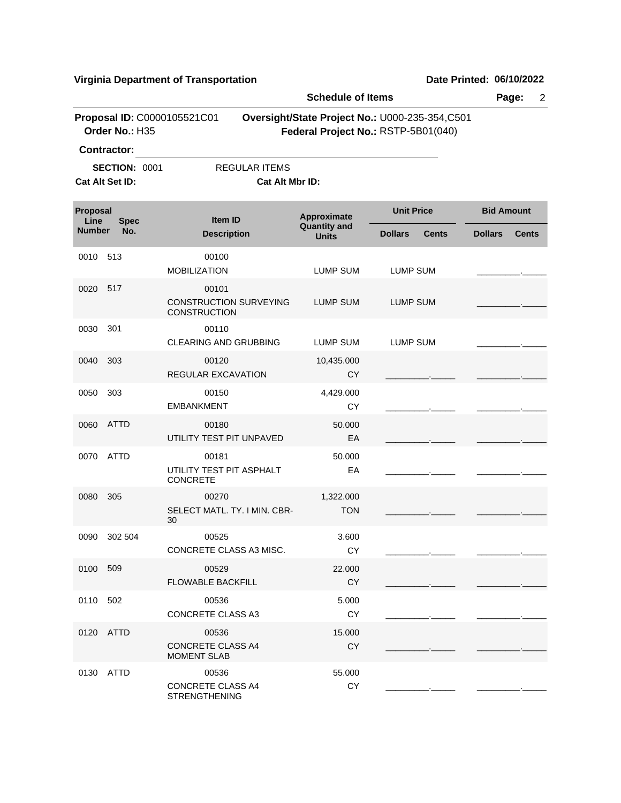|                  | <b>Schedule of Items</b>                                      |                                                               |                                     |                                                                                       |                   |              |
|------------------|---------------------------------------------------------------|---------------------------------------------------------------|-------------------------------------|---------------------------------------------------------------------------------------|-------------------|--------------|
|                  | Order No.: H35                                                | Proposal ID: C0000105521C01                                   |                                     | Oversight/State Project No.: U000-235-354,C501<br>Federal Project No.: RSTP-5B01(040) |                   |              |
|                  | <b>Contractor:</b><br><b>SECTION: 0001</b><br>Cat Alt Set ID: | <b>REGULAR ITEMS</b><br>Cat Alt Mbr ID:                       |                                     |                                                                                       |                   |              |
| Proposal<br>Line | <b>Spec</b>                                                   | <b>Item ID</b>                                                | Approximate                         | <b>Unit Price</b>                                                                     | <b>Bid Amount</b> |              |
| <b>Number</b>    | No.                                                           | <b>Description</b>                                            | <b>Quantity and</b><br><b>Units</b> | <b>Dollars</b><br><b>Cents</b>                                                        | <b>Dollars</b>    | <b>Cents</b> |
| 0010             | 513                                                           | 00100<br><b>MOBILIZATION</b>                                  | LUMP SUM                            | LUMP SUM                                                                              |                   |              |
| 0020             | 517                                                           | 00101<br><b>CONSTRUCTION SURVEYING</b><br><b>CONSTRUCTION</b> | LUMP SUM                            | LUMP SUM                                                                              |                   |              |
| 0030             | 301                                                           | 00110<br>CLEARING AND GRUBBING                                | <b>LUMP SUM</b>                     | <b>LUMP SUM</b>                                                                       |                   |              |
| 0040             | 303                                                           | 00120<br>REGULAR EXCAVATION                                   | 10,435.000<br><b>CY</b>             |                                                                                       |                   |              |
| 0050             | 303                                                           | 00150<br><b>EMBANKMENT</b>                                    | 4,429.000<br>CY                     |                                                                                       |                   |              |
| 0060             | ATTD                                                          | 00180<br>UTILITY TEST PIT UNPAVED                             | 50.000<br>EA                        |                                                                                       |                   |              |
| 0070             | <b>ATTD</b>                                                   | 00181<br>UTILITY TEST PIT ASPHALT<br><b>CONCRETE</b>          | 50.000<br>EA                        |                                                                                       |                   |              |
| 0080             | 305                                                           | 00270<br>SELECT MATL. TY. I MIN. CBR-<br>30                   | 1,322.000<br><b>TON</b>             |                                                                                       |                   |              |
| 0090             | 302 504                                                       | 00525<br>CONCRETE CLASS A3 MISC.                              | 3.600<br>СY                         |                                                                                       |                   |              |
| 0100 509         |                                                               | 00529<br><b>FLOWABLE BACKFILL</b>                             | 22.000<br>CY                        |                                                                                       |                   |              |
| 0110             | 502                                                           | 00536<br><b>CONCRETE CLASS A3</b>                             | 5.000<br><b>CY</b>                  |                                                                                       |                   |              |
|                  | 0120 ATTD                                                     | 00536<br><b>CONCRETE CLASS A4</b><br>MOMENT SLAB              | 15.000<br><b>CY</b>                 |                                                                                       |                   |              |
| 0130             | ATTD                                                          | 00536<br>CONCRETE CLASS A4<br><b>STRENGTHENING</b>            | 55.000<br>CY                        |                                                                                       |                   |              |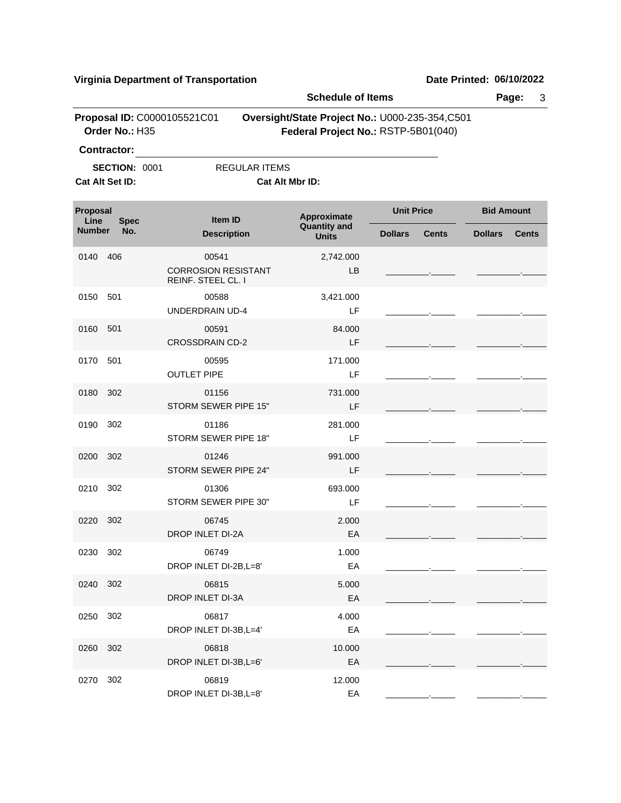| <b>Schedule of Items</b> |                                         |                                                           | Page:<br>3                                     |                                     |                                |
|--------------------------|-----------------------------------------|-----------------------------------------------------------|------------------------------------------------|-------------------------------------|--------------------------------|
|                          | Order No.: H35                          | Proposal ID: C0000105521C01                               | Oversight/State Project No.: U000-235-354,C501 | Federal Project No.: RSTP-5B01(040) |                                |
|                          | <b>Contractor:</b>                      |                                                           |                                                |                                     |                                |
|                          | <b>SECTION: 0001</b><br>Cat Alt Set ID: |                                                           | <b>REGULAR ITEMS</b><br><b>Cat Alt Mbr ID:</b> |                                     |                                |
| Proposal<br>Line         | <b>Spec</b>                             | Item ID                                                   | Approximate                                    | <b>Unit Price</b>                   | <b>Bid Amount</b>              |
| <b>Number</b>            | No.                                     | <b>Description</b>                                        | <b>Quantity and</b><br><b>Units</b>            | <b>Dollars</b><br><b>Cents</b>      | <b>Dollars</b><br><b>Cents</b> |
| 0140                     | 406                                     | 00541<br><b>CORROSION RESISTANT</b><br>REINF. STEEL CL. I | 2,742.000<br>LB.                               |                                     |                                |
| 0150                     | 501                                     | 00588<br><b>UNDERDRAIN UD-4</b>                           | 3,421.000<br>LF                                |                                     |                                |
| 0160                     | 501                                     | 00591<br><b>CROSSDRAIN CD-2</b>                           | 84.000<br>LF                                   |                                     |                                |
| 0170                     | 501                                     | 00595<br><b>OUTLET PIPE</b>                               | 171.000<br>LF                                  |                                     |                                |
| 0180                     | 302                                     | 01156<br>STORM SEWER PIPE 15"                             | 731.000<br>LF                                  |                                     |                                |
| 0190                     | 302                                     | 01186<br>STORM SEWER PIPE 18"                             | 281.000<br>LF                                  |                                     |                                |
| 0200                     | 302                                     | 01246<br>STORM SEWER PIPE 24"                             | 991.000<br>LF                                  |                                     |                                |
| 0210                     | 302                                     | 01306<br>STORM SEWER PIPE 30"                             | 693.000<br>LF                                  |                                     |                                |
| 0220                     | 302                                     | 06745<br><b>DROP INLET DI-2A</b>                          | 2.000<br>EA                                    |                                     |                                |
| 0230 302                 |                                         | 06749<br>DROP INLET DI-2B, L=8'                           | 1.000<br>EA                                    |                                     |                                |
| 0240                     | 302                                     | 06815<br>DROP INLET DI-3A                                 | 5.000<br>EA                                    |                                     |                                |
| 0250                     | 302                                     | 06817<br>DROP INLET DI-3B, L=4'                           | 4.000<br>EA                                    |                                     |                                |
| 0260                     | 302                                     | 06818<br>DROP INLET DI-3B, L=6'                           | 10.000<br>EA                                   |                                     |                                |
| 0270                     | 302                                     | 06819<br>DROP INLET DI-3B, L=8'                           | 12.000<br>EA                                   |                                     |                                |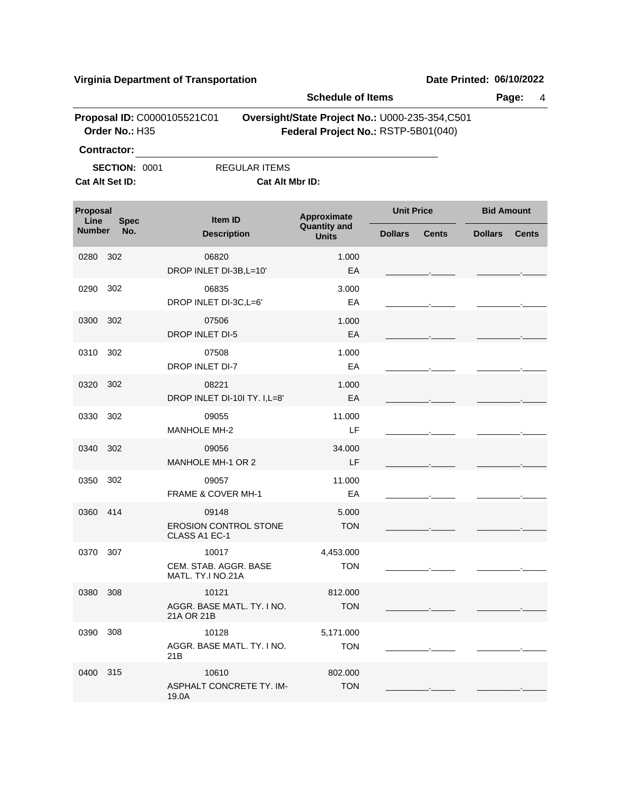|                         |                                               | Virginia Department of Transportation                  |                                                                                       |                   |              | Date Printed: 06/10/2022 |              |
|-------------------------|-----------------------------------------------|--------------------------------------------------------|---------------------------------------------------------------------------------------|-------------------|--------------|--------------------------|--------------|
|                         |                                               |                                                        | <b>Schedule of Items</b>                                                              |                   |              |                          | Page:<br>4   |
|                         | Proposal ID: C0000105521C01<br>Order No.: H35 |                                                        | Oversight/State Project No.: U000-235-354,C501<br>Federal Project No.: RSTP-5B01(040) |                   |              |                          |              |
|                         | Contractor:                                   |                                                        |                                                                                       |                   |              |                          |              |
|                         | <b>SECTION: 0001</b><br>Cat Alt Set ID:       | <b>REGULAR ITEMS</b><br><b>Cat Alt Mbr ID:</b>         |                                                                                       |                   |              |                          |              |
| <b>Proposal</b><br>Line | <b>Spec</b>                                   | Item ID                                                | <b>Approximate</b>                                                                    | <b>Unit Price</b> |              | <b>Bid Amount</b>        |              |
| <b>Number</b>           | No.                                           | <b>Description</b>                                     | <b>Quantity and</b><br><b>Units</b>                                                   | <b>Dollars</b>    | <b>Cents</b> | <b>Dollars</b>           | <b>Cents</b> |
| 0280                    | 302                                           | 06820<br>DROP INLET DI-3B, L=10'                       | 1.000<br>EA                                                                           |                   |              |                          |              |
| 0290                    | 302                                           | 06835<br>DROP INLET DI-3C, L=6'                        | 3.000<br>EA                                                                           |                   |              |                          |              |
| 0300                    | 302                                           | 07506<br><b>DROP INLET DI-5</b>                        | 1.000<br>EA                                                                           |                   |              |                          |              |
| 0310                    | 302                                           | 07508<br>DROP INLET DI-7                               | 1.000<br>EA                                                                           |                   |              |                          |              |
| 0320                    | 302                                           | 08221<br>DROP INLET DI-10I TY. I, L=8'                 | 1.000<br>EA                                                                           |                   |              |                          |              |
| 0330                    | 302                                           | 09055<br><b>MANHOLE MH-2</b>                           | 11.000<br>LF                                                                          |                   |              |                          |              |
| 0340                    | 302                                           | 09056<br>MANHOLE MH-1 OR 2                             | 34.000<br>LF                                                                          |                   |              |                          |              |
| 0350                    | 302                                           | 09057<br><b>FRAME &amp; COVER MH-1</b>                 | 11.000<br>EA                                                                          |                   |              |                          |              |
| 0360                    | 414                                           | 09148<br><b>EROSION CONTROL STONE</b><br>CLASS A1 EC-1 | 5.000<br><b>TON</b>                                                                   |                   |              |                          |              |
| 0370                    | 307                                           | 10017<br>CEM. STAB. AGGR. BASE<br>MATL. TY.I NO.21A    | 4,453.000<br><b>TON</b>                                                               |                   |              |                          |              |
| 0380                    | 308                                           | 10121                                                  | 812.000                                                                               |                   |              |                          |              |

TON

TON 5,171.000

> TON 802.000

AGGR. BASE MATL. TY. I NO.

AGGR. BASE MATL. TY. I NO.

ASPHALT CONCRETE TY. IM-

21A OR 21B

21B

19.0A

0390 10128 308

0400 10610 315

| Date Printed: 06/10/2022 |  |
|--------------------------|--|
|                          |  |

\_\_\_\_\_\_\_\_\_.\_\_\_\_\_ \_\_\_\_\_\_\_\_\_.\_\_\_\_\_

\_\_\_\_\_\_\_\_\_.\_\_\_\_\_ \_\_\_\_\_\_\_\_\_.\_\_\_\_\_

\_\_\_\_\_\_\_\_\_.\_\_\_\_\_ \_\_\_\_\_\_\_\_\_.\_\_\_\_\_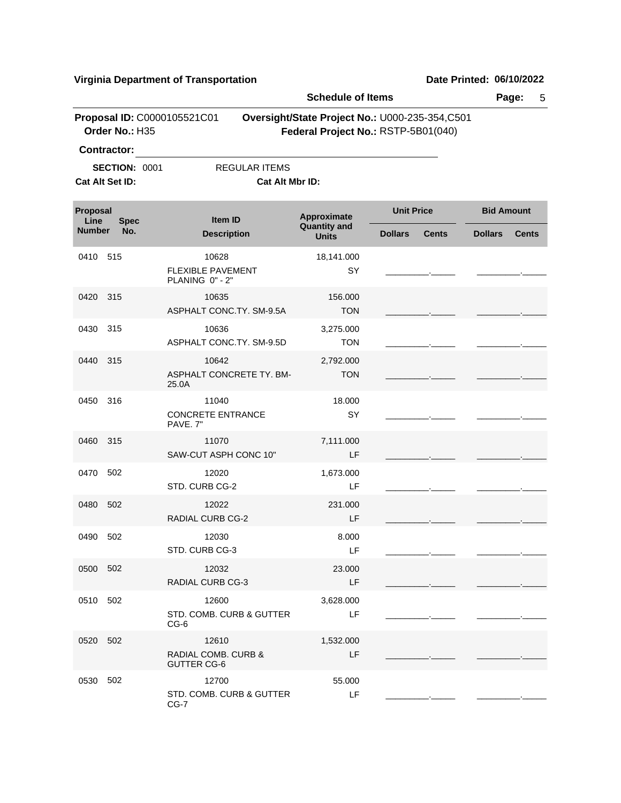|                  |                                               |                                                      | <b>Schedule of Items</b>            |                                                                                       | Page:<br>5                     |
|------------------|-----------------------------------------------|------------------------------------------------------|-------------------------------------|---------------------------------------------------------------------------------------|--------------------------------|
|                  | Proposal ID: C0000105521C01<br>Order No.: H35 |                                                      |                                     | Oversight/State Project No.: U000-235-354,C501<br>Federal Project No.: RSTP-5B01(040) |                                |
|                  | Contractor:                                   |                                                      |                                     |                                                                                       |                                |
|                  | <b>SECTION: 0001</b><br>Cat Alt Set ID:       | <b>REGULAR ITEMS</b><br>Cat Alt Mbr ID:              |                                     |                                                                                       |                                |
| Proposal<br>Line | <b>Spec</b>                                   | <b>Item ID</b>                                       | Approximate                         | <b>Unit Price</b>                                                                     | <b>Bid Amount</b>              |
| <b>Number</b>    | No.                                           | <b>Description</b>                                   | <b>Quantity and</b><br><b>Units</b> | <b>Dollars</b><br><b>Cents</b>                                                        | <b>Cents</b><br><b>Dollars</b> |
| 0410             | -515                                          | 10628<br><b>FLEXIBLE PAVEMENT</b><br>PLANING 0" - 2" | 18,141.000<br>SY                    |                                                                                       |                                |
| 0420             | 315                                           | 10635<br>ASPHALT CONC.TY. SM-9.5A                    | 156.000<br><b>TON</b>               |                                                                                       |                                |
| 0430             | 315                                           | 10636<br>ASPHALT CONC.TY. SM-9.5D                    | 3,275.000<br><b>TON</b>             |                                                                                       |                                |
| 0440             | 315                                           | 10642<br>ASPHALT CONCRETE TY. BM-<br>25.0A           | 2,792.000<br><b>TON</b>             |                                                                                       |                                |
| 0450             | 316                                           | 11040<br><b>CONCRETE ENTRANCE</b><br>PAVE. 7"        | 18.000<br>SY                        |                                                                                       |                                |
| 0460             | 315                                           | 11070<br>SAW-CUT ASPH CONC 10"                       | 7,111.000<br>LF                     |                                                                                       |                                |
| 0470             | 502                                           | 12020<br>STD. CURB CG-2                              | 1,673.000<br>LF                     |                                                                                       |                                |
| 0480             | 502                                           | 12022<br><b>RADIAL CURB CG-2</b>                     | 231.000<br>LF                       |                                                                                       |                                |
| 0490             | 502                                           | 12030<br>STD. CURB CG-3                              | 8.000<br>LF                         |                                                                                       |                                |
| 0500 502         |                                               | 12032<br>RADIAL CURB CG-3                            | 23.000<br>LF                        |                                                                                       |                                |
| 0510 502         |                                               | 12600<br>STD. COMB. CURB & GUTTER<br>$CG-6$          | 3,628.000<br>LF                     |                                                                                       |                                |
| 0520 502         |                                               | 12610<br>RADIAL COMB. CURB &<br><b>GUTTER CG-6</b>   | 1,532.000<br>LF                     |                                                                                       |                                |
| 0530             | 502                                           | 12700<br>STD. COMB. CURB & GUTTER<br>$CG-7$          | 55.000<br>LF                        |                                                                                       |                                |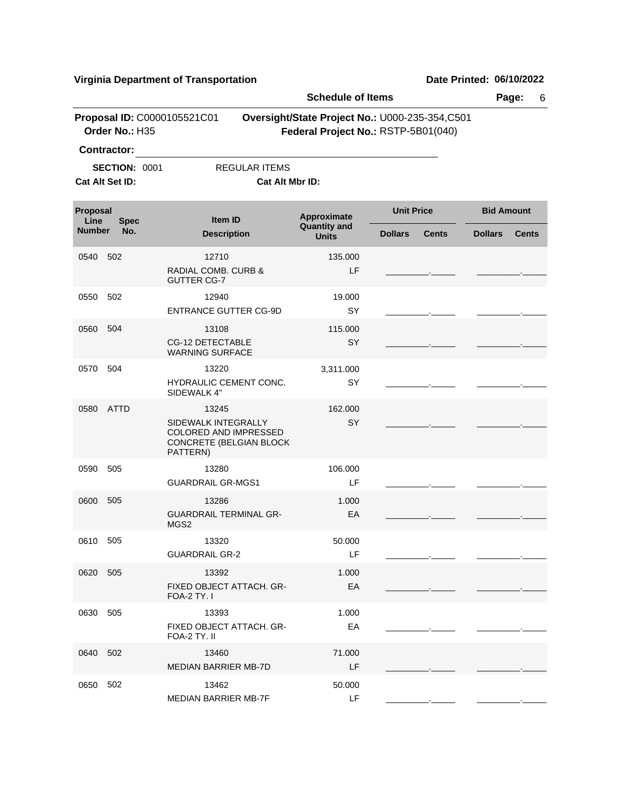|                       | g Dopart or Transp                            |                                                                                              |                                        |                                                                                       |                                |  |  |
|-----------------------|-----------------------------------------------|----------------------------------------------------------------------------------------------|----------------------------------------|---------------------------------------------------------------------------------------|--------------------------------|--|--|
|                       |                                               |                                                                                              | <b>Schedule of Items</b><br>Page:<br>6 |                                                                                       |                                |  |  |
|                       | Proposal ID: C0000105521C01<br>Order No.: H35 |                                                                                              |                                        | Oversight/State Project No.: U000-235-354,C501<br>Federal Project No.: RSTP-5B01(040) |                                |  |  |
|                       | <b>Contractor:</b>                            |                                                                                              |                                        |                                                                                       |                                |  |  |
|                       | <b>SECTION: 0001</b><br>Cat Alt Set ID:       | <b>REGULAR ITEMS</b><br>Cat Alt Mbr ID:                                                      |                                        |                                                                                       |                                |  |  |
| Proposal              |                                               | <b>Item ID</b>                                                                               | Approximate                            | <b>Unit Price</b>                                                                     | <b>Bid Amount</b>              |  |  |
| Line<br><b>Number</b> | <b>Spec</b><br>No.                            | <b>Description</b>                                                                           | <b>Quantity and</b><br><b>Units</b>    | <b>Dollars</b><br><b>Cents</b>                                                        | <b>Dollars</b><br><b>Cents</b> |  |  |
| 0540                  | 502                                           | 12710<br><b>RADIAL COMB. CURB &amp;</b><br><b>GUTTER CG-7</b>                                | 135.000<br>LF                          |                                                                                       |                                |  |  |
| 0550                  | 502                                           | 12940<br><b>ENTRANCE GUTTER CG-9D</b>                                                        | 19.000<br>SY                           |                                                                                       |                                |  |  |
| 0560                  | 504                                           | 13108<br><b>CG-12 DETECTABLE</b><br><b>WARNING SURFACE</b>                                   | 115.000<br>SY                          |                                                                                       |                                |  |  |
| 0570                  | 504                                           | 13220<br>HYDRAULIC CEMENT CONC.<br>SIDEWALK 4"                                               | 3,311.000<br>SY                        |                                                                                       |                                |  |  |
| 0580                  | ATTD                                          | 13245<br>SIDEWALK INTEGRALLY<br>COLORED AND IMPRESSED<br>CONCRETE (BELGIAN BLOCK<br>PATTERN) | 162,000<br>SY                          |                                                                                       |                                |  |  |
| 0590                  | 505                                           | 13280<br><b>GUARDRAIL GR-MGS1</b>                                                            | 106.000<br>LF                          |                                                                                       |                                |  |  |
| 0600                  | 505                                           | 13286<br><b>GUARDRAIL TERMINAL GR-</b><br>MGS2                                               | 1.000<br>EA                            |                                                                                       |                                |  |  |
| 0610 505              |                                               | 13320<br><b>GUARDRAIL GR-2</b>                                                               | 50.000<br>LF                           |                                                                                       |                                |  |  |
| 0620 505              |                                               | 13392<br>FIXED OBJECT ATTACH. GR-<br><b>FOA-2 TY. I</b>                                      | 1.000<br>EA                            |                                                                                       |                                |  |  |
| 0630                  | 505                                           | 13393<br>FIXED OBJECT ATTACH. GR-<br>FOA-2 TY. II                                            | 1.000<br>EA                            |                                                                                       |                                |  |  |
| 0640 502              |                                               | 13460<br><b>MEDIAN BARRIER MB-7D</b>                                                         | 71.000<br>LF                           |                                                                                       |                                |  |  |
| 0650                  | 502                                           | 13462<br><b>MEDIAN BARRIER MB-7F</b>                                                         | 50.000<br>LF                           |                                                                                       |                                |  |  |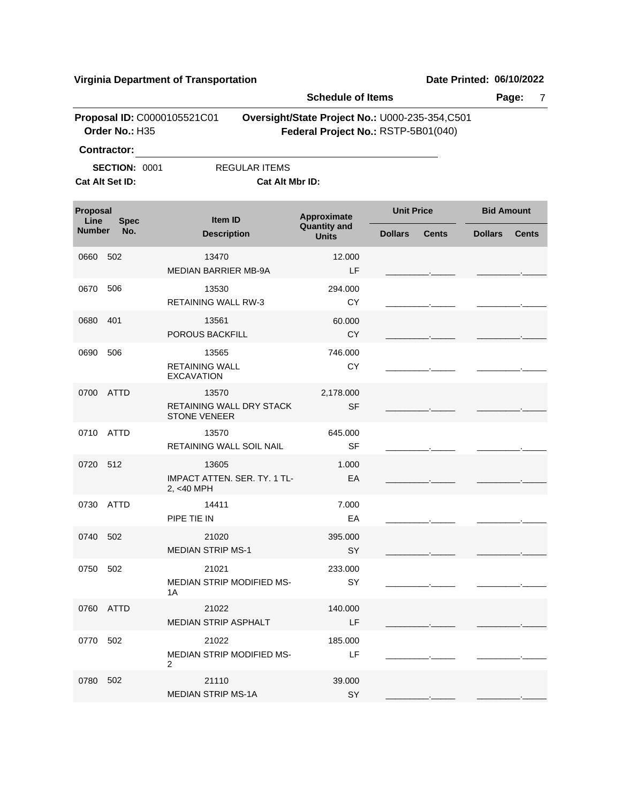|                      |                                               |                                                            | <b>Schedule of Items</b>            |                                                                                       | Page:<br>7                     |
|----------------------|-----------------------------------------------|------------------------------------------------------------|-------------------------------------|---------------------------------------------------------------------------------------|--------------------------------|
|                      | Proposal ID: C0000105521C01<br>Order No.: H35 |                                                            |                                     | Oversight/State Project No.: U000-235-354,C501<br>Federal Project No.: RSTP-5B01(040) |                                |
|                      | <b>Contractor:</b>                            |                                                            |                                     |                                                                                       |                                |
|                      | <b>SECTION: 0001</b><br>Cat Alt Set ID:       | REGULAR ITEMS<br>Cat Alt Mbr ID:                           |                                     |                                                                                       |                                |
|                      |                                               |                                                            |                                     |                                                                                       |                                |
| Proposal<br>Line     | <b>Spec</b>                                   | Item ID                                                    | Approximate                         | <b>Unit Price</b>                                                                     | <b>Bid Amount</b>              |
| No.<br><b>Number</b> |                                               | <b>Description</b>                                         | <b>Quantity and</b><br><b>Units</b> | <b>Dollars</b><br><b>Cents</b>                                                        | <b>Dollars</b><br><b>Cents</b> |
| 0660                 | 502                                           | 13470<br><b>MEDIAN BARRIER MB-9A</b>                       | 12.000<br>LF                        |                                                                                       |                                |
| 0670                 | 506                                           | 13530<br><b>RETAINING WALL RW-3</b>                        | 294.000<br>CY                       |                                                                                       |                                |
| 0680                 | 401                                           | 13561<br>POROUS BACKFILL                                   | 60.000<br><b>CY</b>                 |                                                                                       |                                |
| 0690                 | 506                                           | 13565<br><b>RETAINING WALL</b><br><b>EXCAVATION</b>        | 746.000<br>CY                       |                                                                                       |                                |
| 0700                 | <b>ATTD</b>                                   | 13570<br>RETAINING WALL DRY STACK<br><b>STONE VENEER</b>   | 2,178.000<br><b>SF</b>              |                                                                                       |                                |
| 0710                 | ATTD                                          | 13570<br>RETAINING WALL SOIL NAIL                          | 645.000<br><b>SF</b>                |                                                                                       |                                |
| 0720                 | 512                                           | 13605<br><b>IMPACT ATTEN, SER, TY, 1 TL-</b><br>2, <40 MPH | 1.000<br>EA                         |                                                                                       |                                |
| 0730                 | <b>ATTD</b>                                   | 14411<br>PIPE TIE IN                                       | 7.000<br>EA                         |                                                                                       |                                |
| 0740                 | 502                                           | 21020<br><b>MEDIAN STRIP MS-1</b>                          | 395.000<br>SY                       |                                                                                       |                                |
| 0750 502             |                                               | 21021<br><b>MEDIAN STRIP MODIFIED MS-</b><br>1A            | 233.000<br>SY                       |                                                                                       |                                |
|                      | 0760 ATTD                                     | 21022<br><b>MEDIAN STRIP ASPHALT</b>                       | 140.000<br>LF                       |                                                                                       |                                |
| 0770                 | 502                                           | 21022<br>MEDIAN STRIP MODIFIED MS-<br>$\overline{2}$       | 185,000<br>LF                       |                                                                                       |                                |
| 0780                 | 502                                           | 21110<br><b>MEDIAN STRIP MS-1A</b>                         | 39.000<br>SY                        |                                                                                       |                                |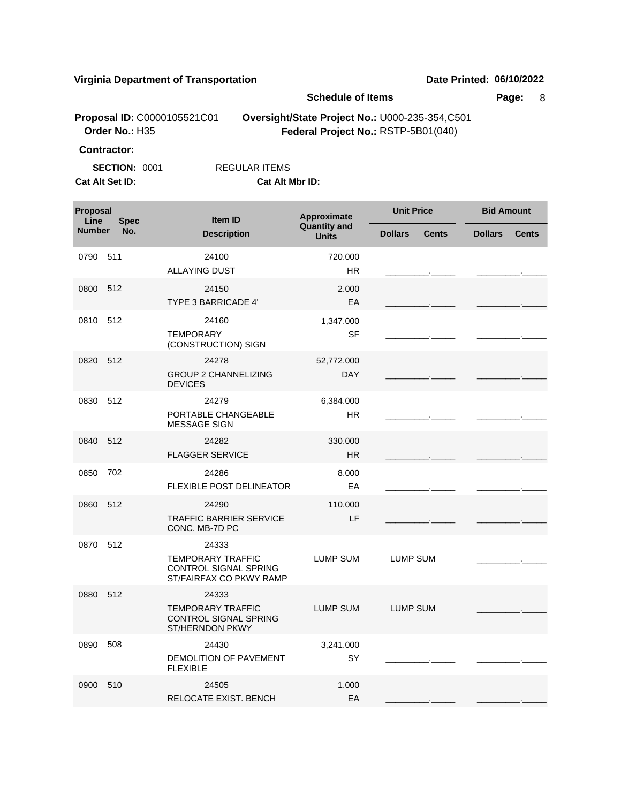|                                 |                                               |                                                                                | <b>Schedule of Items</b>           |                                                                                       | Page:<br>8                     |  |
|---------------------------------|-----------------------------------------------|--------------------------------------------------------------------------------|------------------------------------|---------------------------------------------------------------------------------------|--------------------------------|--|
|                                 | Proposal ID: C0000105521C01<br>Order No.: H35 |                                                                                |                                    | Oversight/State Project No.: U000-235-354,C501<br>Federal Project No.: RSTP-5B01(040) |                                |  |
|                                 | <b>Contractor:</b>                            |                                                                                |                                    |                                                                                       |                                |  |
|                                 | <b>SECTION: 0001</b><br>Cat Alt Set ID:       | <b>REGULAR ITEMS</b><br>Cat Alt Mbr ID:                                        |                                    |                                                                                       |                                |  |
| Proposal<br>Line<br><b>Spec</b> |                                               | Item ID                                                                        | Approximate<br><b>Quantity and</b> | <b>Unit Price</b>                                                                     | <b>Bid Amount</b>              |  |
| <b>Number</b>                   | No.                                           | <b>Description</b>                                                             | <b>Units</b>                       | <b>Dollars</b><br><b>Cents</b>                                                        | <b>Dollars</b><br><b>Cents</b> |  |
| 0790                            | 511                                           | 24100<br><b>ALLAYING DUST</b>                                                  | 720.000<br><b>HR</b>               |                                                                                       |                                |  |
| 0800                            | 512                                           | 24150                                                                          | 2.000                              |                                                                                       |                                |  |
|                                 |                                               | <b>TYPE 3 BARRICADE 4'</b>                                                     | EA                                 |                                                                                       |                                |  |
| 0810                            | 512                                           | 24160<br><b>TEMPORARY</b><br>(CONSTRUCTION) SIGN                               | 1,347.000<br><b>SF</b>             |                                                                                       |                                |  |
| 0820                            | 512                                           | 24278<br><b>GROUP 2 CHANNELIZING</b><br><b>DEVICES</b>                         | 52,772.000<br><b>DAY</b>           |                                                                                       |                                |  |
| 0830                            | 512                                           | 24279<br>PORTABLE CHANGEABLE<br><b>MESSAGE SIGN</b>                            | 6,384.000<br>HR.                   |                                                                                       |                                |  |
| 0840                            | 512                                           | 24282<br><b>FLAGGER SERVICE</b>                                                | 330.000<br><b>HR</b>               |                                                                                       |                                |  |
| 0850                            | 702                                           | 24286<br>FLEXIBLE POST DELINEATOR                                              | 8.000<br>EA                        |                                                                                       |                                |  |
| 0860                            | 512                                           | 24290<br><b>TRAFFIC BARRIER SERVICE</b><br>CONC. MB-7D PC                      | 110.000<br>LF                      |                                                                                       |                                |  |
| 0870 512                        |                                               | 24333<br>TEMPORARY TRAFFIC<br>CONTROL SIGNAL SPRING<br>ST/FAIRFAX CO PKWY RAMP | LUMP SUM                           | LUMP SUM                                                                              |                                |  |
| 0880                            | 512                                           | 24333<br><b>TEMPORARY TRAFFIC</b><br>CONTROL SIGNAL SPRING<br>ST/HERNDON PKWY  | <b>LUMP SUM</b>                    | LUMP SUM                                                                              |                                |  |
| 0890                            | 508                                           | 24430<br>DEMOLITION OF PAVEMENT<br><b>FLEXIBLE</b>                             | 3,241.000<br>SY                    |                                                                                       |                                |  |
| 0900                            | 510                                           | 24505<br>RELOCATE EXIST. BENCH                                                 | 1.000<br>EA                        |                                                                                       |                                |  |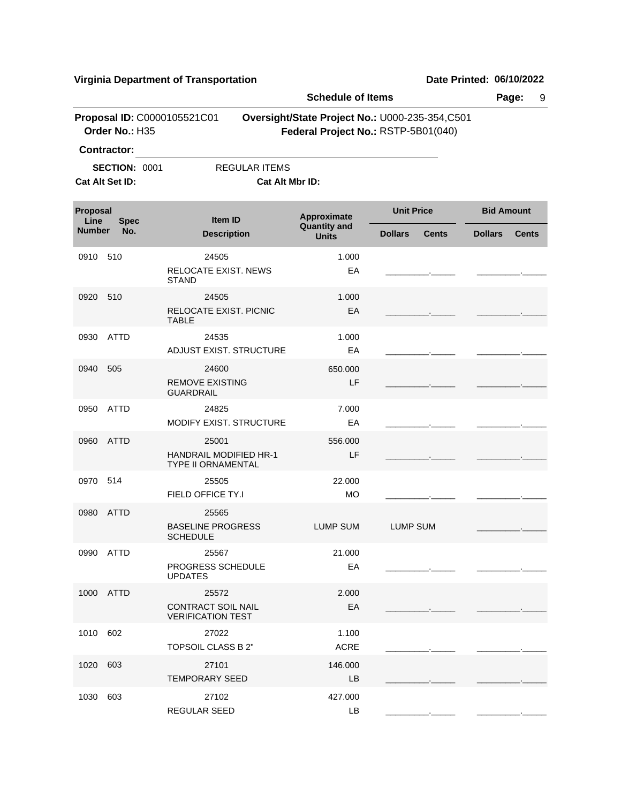|                  |                      |                                                                | <b>Schedule of Items</b>           |                                                                                       | Page:             | 9            |
|------------------|----------------------|----------------------------------------------------------------|------------------------------------|---------------------------------------------------------------------------------------|-------------------|--------------|
|                  | Order No.: H35       | Proposal ID: C0000105521C01                                    |                                    | Oversight/State Project No.: U000-235-354,C501<br>Federal Project No.: RSTP-5B01(040) |                   |              |
|                  | Contractor:          |                                                                |                                    |                                                                                       |                   |              |
|                  | <b>SECTION: 0001</b> | <b>REGULAR ITEMS</b>                                           |                                    |                                                                                       |                   |              |
|                  | Cat Alt Set ID:      | Cat Alt Mbr ID:                                                |                                    |                                                                                       |                   |              |
| Proposal<br>Line | <b>Spec</b>          | Item ID                                                        | Approximate<br><b>Quantity and</b> | <b>Unit Price</b>                                                                     | <b>Bid Amount</b> |              |
| <b>Number</b>    | No.                  | <b>Description</b>                                             | <b>Units</b>                       | <b>Dollars</b><br><b>Cents</b>                                                        | <b>Dollars</b>    | <b>Cents</b> |
| 0910             | 510                  | 24505<br><b>RELOCATE EXIST. NEWS</b><br><b>STAND</b>           | 1.000<br>EA                        |                                                                                       |                   |              |
| 0920             | 510                  | 24505<br>RELOCATE EXIST. PICNIC<br><b>TABLE</b>                | 1.000<br>EA                        |                                                                                       |                   |              |
| 0930             | <b>ATTD</b>          | 24535<br>ADJUST EXIST. STRUCTURE                               | 1.000<br>EA                        |                                                                                       |                   |              |
| 0940             | 505                  | 24600<br><b>REMOVE EXISTING</b><br><b>GUARDRAIL</b>            | 650.000<br>LF                      |                                                                                       |                   |              |
| 0950             | <b>ATTD</b>          | 24825<br>MODIFY EXIST. STRUCTURE                               | 7.000<br>EA                        |                                                                                       |                   |              |
| 0960             | <b>ATTD</b>          | 25001<br><b>HANDRAIL MODIFIED HR-1</b><br>TYPE II ORNAMENTAL   | 556.000<br>LF                      |                                                                                       |                   |              |
| 0970             | -514                 | 25505<br>FIELD OFFICE TY.I                                     | 22.000<br>MO                       |                                                                                       |                   |              |
| 0980             | <b>ATTD</b>          | 25565<br><b>BASELINE PROGRESS</b><br><b>SCHEDULE</b>           | <b>LUMP SUM</b>                    | <b>LUMP SUM</b>                                                                       |                   |              |
|                  | 0990 ATTD            | 25567<br>PROGRESS SCHEDULE<br><b>UPDATES</b>                   | 21.000<br>EA                       |                                                                                       |                   |              |
|                  | 1000 ATTD            | 25572<br><b>CONTRACT SOIL NAIL</b><br><b>VERIFICATION TEST</b> | 2.000<br>EA                        |                                                                                       |                   |              |
| 1010 602         |                      | 27022<br>TOPSOIL CLASS B 2"                                    | 1.100<br><b>ACRE</b>               |                                                                                       |                   |              |
| 1020             | 603                  | 27101<br><b>TEMPORARY SEED</b>                                 | 146.000<br><b>LB</b>               |                                                                                       |                   |              |
| 1030 603         |                      | 27102<br>REGULAR SEED                                          | 427.000<br>LB                      |                                                                                       |                   |              |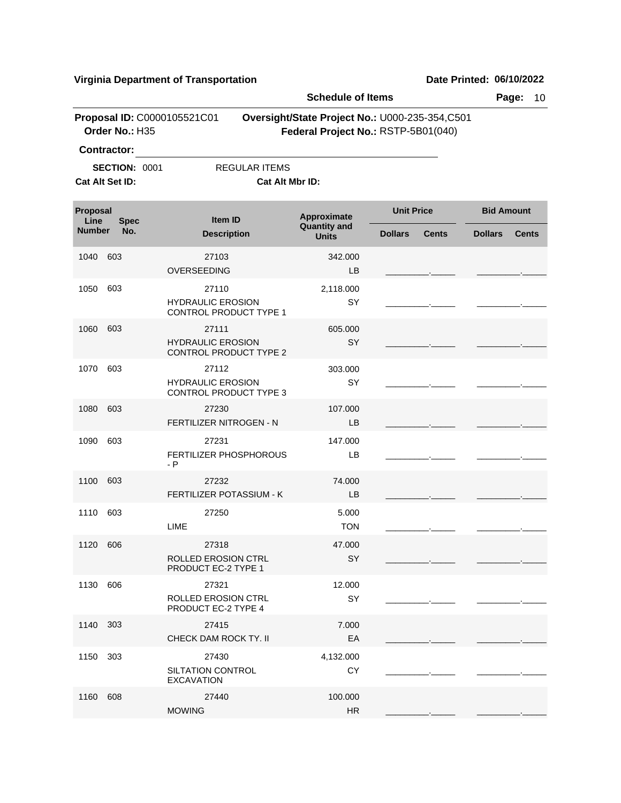|                  |                                         |                                                    | <b>Schedule of Items</b>                                                              |                   |              |                   | Page:<br>10  |
|------------------|-----------------------------------------|----------------------------------------------------|---------------------------------------------------------------------------------------|-------------------|--------------|-------------------|--------------|
|                  | Order No.: H35                          | Proposal ID: C0000105521C01                        | Oversight/State Project No.: U000-235-354,C501<br>Federal Project No.: RSTP-5B01(040) |                   |              |                   |              |
|                  | <b>Contractor:</b>                      |                                                    |                                                                                       |                   |              |                   |              |
|                  | <b>SECTION: 0001</b><br>Cat Alt Set ID: | <b>REGULAR ITEMS</b><br>Cat Alt Mbr ID:            |                                                                                       |                   |              |                   |              |
|                  |                                         |                                                    |                                                                                       |                   |              |                   |              |
| Proposal<br>Line | <b>Spec</b>                             | <b>Item ID</b>                                     | Approximate                                                                           | <b>Unit Price</b> |              | <b>Bid Amount</b> |              |
| <b>Number</b>    | No.                                     | <b>Description</b>                                 | <b>Quantity and</b><br><b>Units</b>                                                   | <b>Dollars</b>    | <b>Cents</b> | <b>Dollars</b>    | <b>Cents</b> |
| 1040             | 603                                     | 27103                                              | 342.000                                                                               |                   |              |                   |              |
|                  |                                         | OVERSEEDING                                        | LB                                                                                    |                   |              |                   |              |
| 1050             | 603                                     | 27110                                              | 2,118.000                                                                             |                   |              |                   |              |
|                  |                                         | <b>HYDRAULIC EROSION</b><br>CONTROL PRODUCT TYPE 1 | SY                                                                                    |                   |              |                   |              |
| 1060             | 603                                     | 27111                                              | 605,000                                                                               |                   |              |                   |              |
|                  |                                         | <b>HYDRAULIC EROSION</b><br>CONTROL PRODUCT TYPE 2 | <b>SY</b>                                                                             |                   |              |                   |              |
| 1070             | 603                                     | 27112                                              | 303.000                                                                               |                   |              |                   |              |
|                  |                                         | <b>HYDRAULIC EROSION</b><br>CONTROL PRODUCT TYPE 3 | SY                                                                                    |                   |              |                   |              |
| 1080             | 603                                     | 27230                                              | 107.000                                                                               |                   |              |                   |              |
|                  |                                         | FERTILIZER NITROGEN - N                            | LB                                                                                    |                   |              |                   |              |
| 1090             | 603                                     | 27231<br><b>FERTILIZER PHOSPHOROUS</b><br>- P      | 147.000<br>LB                                                                         |                   |              |                   |              |
| 1100             | 603                                     | 27232                                              | 74.000                                                                                |                   |              |                   |              |
|                  |                                         | FERTILIZER POTASSIUM - K                           | <b>LB</b>                                                                             |                   |              |                   |              |
| 1110             | 603                                     | 27250<br>LIME                                      | 5.000<br><b>TON</b>                                                                   |                   |              |                   |              |
| 1120 606         |                                         | 27318                                              | 47.000                                                                                |                   |              |                   |              |
|                  |                                         | ROLLED EROSION CTRL<br>PRODUCT EC-2 TYPE 1         | SY.                                                                                   |                   |              |                   |              |
| 1130             | 606                                     | 27321                                              | 12.000                                                                                |                   |              |                   |              |
|                  |                                         | <b>ROLLED EROSION CTRL</b><br>PRODUCT EC-2 TYPE 4  | SY                                                                                    |                   |              |                   |              |
| 1140 303         |                                         | 27415                                              | 7.000                                                                                 |                   |              |                   |              |
|                  |                                         | CHECK DAM ROCK TY. II                              | EA                                                                                    |                   |              |                   |              |
| 1150             | 303                                     | 27430                                              | 4,132.000                                                                             |                   |              |                   |              |
|                  |                                         | SILTATION CONTROL<br><b>EXCAVATION</b>             | <b>CY</b>                                                                             |                   |              |                   |              |
| 1160             | 608                                     | 27440                                              | 100.000                                                                               |                   |              |                   |              |
|                  |                                         | <b>MOWING</b>                                      | HR                                                                                    |                   |              |                   |              |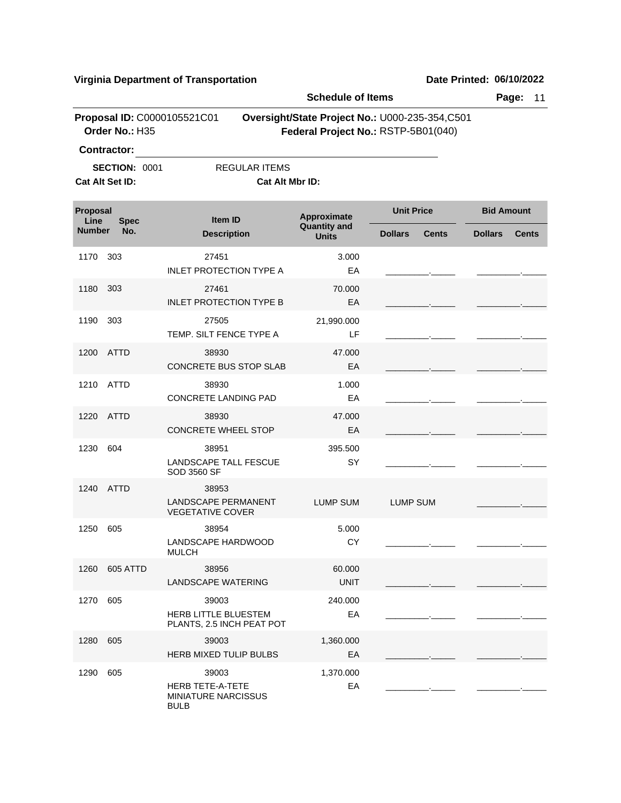|                  |                                                               |                                                                               | <b>Schedule of Items</b>                                                              |                   |              |                   | Page:<br>11  |
|------------------|---------------------------------------------------------------|-------------------------------------------------------------------------------|---------------------------------------------------------------------------------------|-------------------|--------------|-------------------|--------------|
|                  | Order No.: H35                                                | Proposal ID: C0000105521C01                                                   | Oversight/State Project No.: U000-235-354,C501<br>Federal Project No.: RSTP-5B01(040) |                   |              |                   |              |
|                  | <b>Contractor:</b><br><b>SECTION: 0001</b><br>Cat Alt Set ID: | <b>REGULAR ITEMS</b><br>Cat Alt Mbr ID:                                       |                                                                                       |                   |              |                   |              |
| Proposal<br>Line | <b>Spec</b>                                                   | Item ID                                                                       | Approximate                                                                           | <b>Unit Price</b> |              | <b>Bid Amount</b> |              |
| <b>Number</b>    | No.                                                           | <b>Description</b>                                                            | <b>Quantity and</b><br><b>Units</b>                                                   | <b>Dollars</b>    | <b>Cents</b> | <b>Dollars</b>    | <b>Cents</b> |
| 1170             | 303                                                           | 27451<br><b>INLET PROTECTION TYPE A</b>                                       | 3.000<br>EA                                                                           |                   |              |                   |              |
| 1180             | 303                                                           | 27461<br><b>INLET PROTECTION TYPE B</b>                                       | 70.000<br>EA                                                                          |                   |              |                   |              |
| 1190             | 303                                                           | 27505<br>TEMP. SILT FENCE TYPE A                                              | 21,990.000<br>LF                                                                      |                   |              |                   |              |
| 1200             | ATTD                                                          | 38930<br>CONCRETE BUS STOP SLAB                                               | 47.000<br>EA                                                                          |                   |              |                   |              |
| 1210             | ATTD                                                          | 38930<br><b>CONCRETE LANDING PAD</b>                                          | 1.000<br>EA                                                                           |                   |              |                   |              |
|                  | 1220 ATTD                                                     | 38930<br><b>CONCRETE WHEEL STOP</b>                                           | 47.000<br>EA                                                                          |                   |              |                   |              |
| 1230             | 604                                                           | 38951<br>LANDSCAPE TALL FESCUE<br>SOD 3560 SF                                 | 395.500<br>SY                                                                         |                   |              |                   |              |
| 1240             | ATTD                                                          | 38953<br><b>LANDSCAPE PERMANENT</b><br><b>VEGETATIVE COVER</b>                | <b>LUMP SUM</b>                                                                       | <b>LUMP SUM</b>   |              |                   |              |
| 1250             | 605                                                           | 38954<br>LANDSCAPE HARDWOOD<br><b>MULCH</b>                                   | 5.000<br>CY                                                                           |                   |              |                   |              |
|                  | 1260 605 ATTD                                                 | 38956<br>LANDSCAPE WATERING                                                   | 60.000<br><b>UNIT</b>                                                                 |                   |              |                   |              |
| 1270 605         |                                                               | 39003<br>HERB LITTLE BLUESTEM<br>PLANTS, 2.5 INCH PEAT POT                    | 240.000<br>EA                                                                         |                   |              |                   |              |
| 1280             | 605                                                           | 39003<br>HERB MIXED TULIP BULBS                                               | 1,360.000<br>EA                                                                       |                   |              |                   |              |
| 1290             | 605                                                           | 39003<br><b>HERB TETE-A-TETE</b><br><b>MINIATURE NARCISSUS</b><br><b>BULB</b> | 1,370.000<br>EA                                                                       |                   |              |                   |              |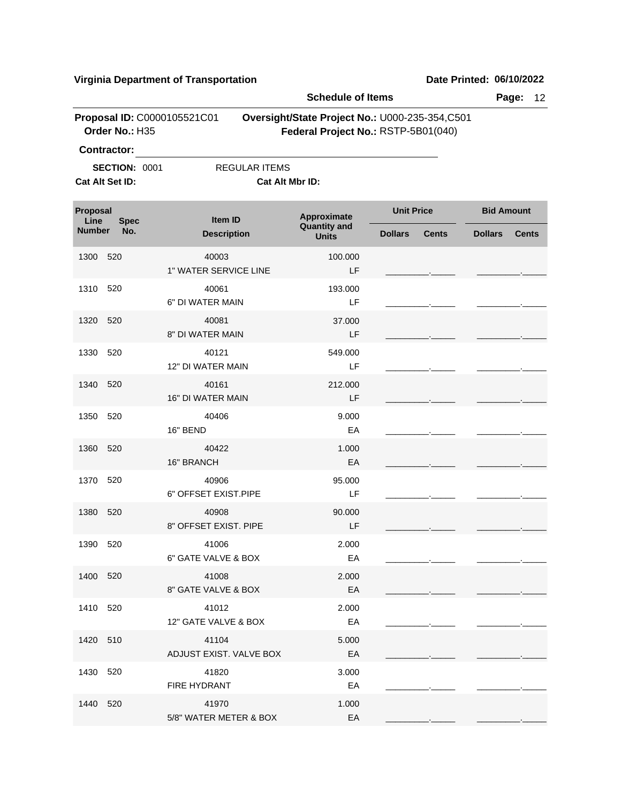|                  |                                         |                                   | <b>Schedule of Items</b>                                                              |                   |              |                   | Page:<br>12  |
|------------------|-----------------------------------------|-----------------------------------|---------------------------------------------------------------------------------------|-------------------|--------------|-------------------|--------------|
|                  | Order No.: H35<br><b>Contractor:</b>    | Proposal ID: C0000105521C01       | Oversight/State Project No.: U000-235-354,C501<br>Federal Project No.: RSTP-5B01(040) |                   |              |                   |              |
|                  | <b>SECTION: 0001</b><br>Cat Alt Set ID: | <b>REGULAR ITEMS</b>              | Cat Alt Mbr ID:                                                                       |                   |              |                   |              |
| Proposal<br>Line | <b>Spec</b>                             | Item ID                           | Approximate<br><b>Quantity and</b>                                                    | <b>Unit Price</b> |              | <b>Bid Amount</b> |              |
| <b>Number</b>    | No.                                     | <b>Description</b>                | <b>Units</b>                                                                          | <b>Dollars</b>    | <b>Cents</b> | <b>Dollars</b>    | <b>Cents</b> |
| 1300             | 520                                     | 40003<br>1" WATER SERVICE LINE    | 100.000<br>LF                                                                         |                   |              |                   |              |
| 1310             | 520                                     | 40061<br>6" DI WATER MAIN         | 193.000<br>LF                                                                         |                   |              |                   |              |
| 1320             | 520                                     | 40081<br>8" DI WATER MAIN         | 37.000<br>LF                                                                          |                   |              |                   |              |
| 1330             | 520                                     | 40121<br>12" DI WATER MAIN        | 549.000<br>LF                                                                         |                   |              |                   |              |
| 1340             | 520                                     | 40161<br><b>16" DI WATER MAIN</b> | 212.000<br>LF                                                                         |                   |              |                   |              |
| 1350             | 520                                     | 40406<br>16" BEND                 | 9.000<br>EA                                                                           |                   |              |                   |              |
| 1360             | 520                                     | 40422<br>16" BRANCH               | 1.000<br>EA                                                                           |                   |              |                   |              |
| 1370             | 520                                     | 40906<br>6" OFFSET EXIST.PIPE     | 95.000<br>LF                                                                          |                   |              |                   |              |
| 1380             | 520                                     | 40908<br>8" OFFSET EXIST. PIPE    | 90.000<br>LF                                                                          |                   |              |                   |              |
| 1390 520         |                                         | 41006<br>6" GATE VALVE & BOX      | 2.000<br>EA                                                                           |                   |              |                   |              |
| 1400 520         |                                         | 41008<br>8" GATE VALVE & BOX      | 2.000<br>EA                                                                           |                   |              |                   |              |
| 1410 520         |                                         | 41012<br>12" GATE VALVE & BOX     | 2.000<br>EA                                                                           |                   |              |                   |              |
| 1420 510         |                                         | 41104<br>ADJUST EXIST. VALVE BOX  | 5.000<br>EA                                                                           |                   |              |                   |              |
| 1430 520         |                                         | 41820<br>FIRE HYDRANT             | 3.000<br>EA                                                                           |                   |              |                   |              |
| 1440 520         |                                         | 41970<br>5/8" WATER METER & BOX   | 1.000<br>EA                                                                           |                   |              |                   |              |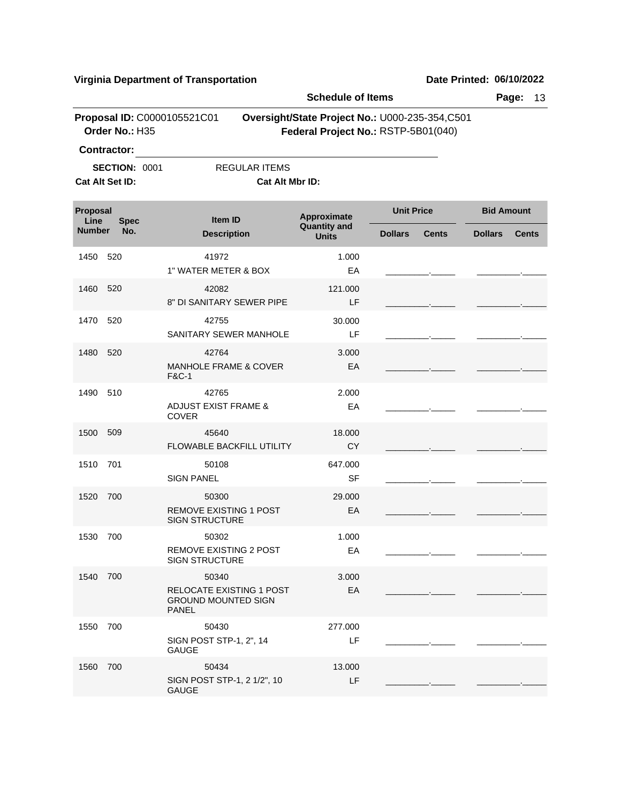|                  |                                               |                                                                                 | <b>Schedule of Items</b>            |                                                                                       |                   | Page:<br>13  |
|------------------|-----------------------------------------------|---------------------------------------------------------------------------------|-------------------------------------|---------------------------------------------------------------------------------------|-------------------|--------------|
|                  | Proposal ID: C0000105521C01<br>Order No.: H35 |                                                                                 |                                     | Oversight/State Project No.: U000-235-354,C501<br>Federal Project No.: RSTP-5B01(040) |                   |              |
|                  | <b>Contractor:</b>                            |                                                                                 |                                     |                                                                                       |                   |              |
|                  | <b>SECTION: 0001</b>                          | <b>REGULAR ITEMS</b>                                                            |                                     |                                                                                       |                   |              |
|                  | Cat Alt Set ID:                               | <b>Cat Alt Mbr ID:</b>                                                          |                                     |                                                                                       |                   |              |
| Proposal<br>Line | <b>Spec</b>                                   | Item ID                                                                         | Approximate                         | <b>Unit Price</b>                                                                     | <b>Bid Amount</b> |              |
| <b>Number</b>    | No.                                           | <b>Description</b>                                                              | <b>Quantity and</b><br><b>Units</b> | <b>Dollars</b><br><b>Cents</b>                                                        | <b>Dollars</b>    | <b>Cents</b> |
| 1450             | 520                                           | 41972<br>1" WATER METER & BOX                                                   | 1.000<br>EA                         |                                                                                       |                   |              |
| 1460             | 520                                           | 42082<br>8" DI SANITARY SEWER PIPE                                              | 121.000<br>LF.                      |                                                                                       |                   |              |
| 1470             | 520                                           | 42755<br>SANITARY SEWER MANHOLE                                                 | 30.000<br>LF                        |                                                                                       |                   |              |
| 1480             | 520                                           | 42764<br><b>MANHOLE FRAME &amp; COVER</b><br><b>F&amp;C-1</b>                   | 3.000<br>EA                         |                                                                                       |                   |              |
| 1490             | 510                                           | 42765<br><b>ADJUST EXIST FRAME &amp;</b><br><b>COVER</b>                        | 2.000<br>EA                         |                                                                                       |                   |              |
| 1500             | 509                                           | 45640<br><b>FLOWABLE BACKFILL UTILITY</b>                                       | 18.000<br><b>CY</b>                 |                                                                                       |                   |              |
| 1510             | 701                                           | 50108<br><b>SIGN PANEL</b>                                                      | 647.000<br>SF                       |                                                                                       |                   |              |
| 1520             | 700                                           | 50300<br><b>REMOVE EXISTING 1 POST</b><br><b>SIGN STRUCTURE</b>                 | 29.000<br>EA                        |                                                                                       |                   |              |
| 1530             | 700                                           | 50302<br><b>REMOVE EXISTING 2 POST</b><br><b>SIGN STRUCTURE</b>                 | 1.000<br>EA                         |                                                                                       |                   |              |
| 1540 700         |                                               | 50340<br>RELOCATE EXISTING 1 POST<br><b>GROUND MOUNTED SIGN</b><br><b>PANEL</b> | 3.000<br>EA                         |                                                                                       |                   |              |
| 1550             | 700                                           | 50430<br>SIGN POST STP-1, 2", 14<br><b>GAUGE</b>                                | 277.000<br>LF                       |                                                                                       |                   |              |
| 1560             | 700                                           | 50434<br>SIGN POST STP-1, 2 1/2", 10<br><b>GAUGE</b>                            | 13.000<br>LF                        |                                                                                       |                   |              |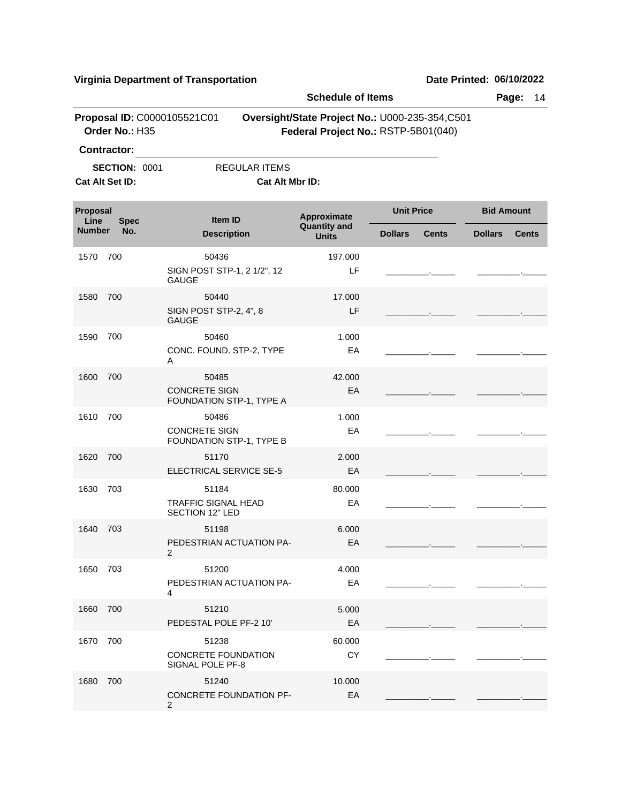|                                 |                      |                                                  | <b>Schedule of Items</b>                                                              |                   |              |                   | Page:<br>14  |
|---------------------------------|----------------------|--------------------------------------------------|---------------------------------------------------------------------------------------|-------------------|--------------|-------------------|--------------|
|                                 | Order No.: H35       | Proposal ID: C0000105521C01                      | Oversight/State Project No.: U000-235-354,C501<br>Federal Project No.: RSTP-5B01(040) |                   |              |                   |              |
|                                 | <b>Contractor:</b>   |                                                  |                                                                                       |                   |              |                   |              |
|                                 | <b>SECTION: 0001</b> | <b>REGULAR ITEMS</b>                             |                                                                                       |                   |              |                   |              |
|                                 | Cat Alt Set ID:      |                                                  | Cat Alt Mbr ID:                                                                       |                   |              |                   |              |
| Proposal<br>Line<br><b>Spec</b> |                      | Item ID                                          | Approximate                                                                           | <b>Unit Price</b> |              | <b>Bid Amount</b> |              |
| <b>Number</b>                   | No.                  | <b>Description</b>                               | <b>Quantity and</b><br><b>Units</b>                                                   | <b>Dollars</b>    | <b>Cents</b> | <b>Dollars</b>    | <b>Cents</b> |
| 1570                            | 700                  | 50436                                            | 197.000                                                                               |                   |              |                   |              |
|                                 |                      | SIGN POST STP-1, 2 1/2", 12<br><b>GAUGE</b>      | LF                                                                                    |                   |              |                   |              |
| 1580                            | 700                  | 50440                                            | 17.000                                                                                |                   |              |                   |              |
|                                 |                      | SIGN POST STP-2, 4", 8<br><b>GAUGE</b>           | LF                                                                                    |                   |              |                   |              |
| 1590                            | 700                  | 50460                                            | 1.000                                                                                 |                   |              |                   |              |
|                                 |                      | CONC. FOUND. STP-2, TYPE<br>Α                    | EA                                                                                    |                   |              |                   |              |
| 1600                            | 700                  | 50485                                            | 42.000                                                                                |                   |              |                   |              |
|                                 |                      | <b>CONCRETE SIGN</b><br>FOUNDATION STP-1, TYPE A | EA                                                                                    |                   |              |                   |              |
| 1610                            | 700                  | 50486                                            | 1.000                                                                                 |                   |              |                   |              |
|                                 |                      | <b>CONCRETE SIGN</b><br>FOUNDATION STP-1, TYPE B | EA                                                                                    |                   |              |                   |              |
| 1620                            | 700                  | 51170                                            | 2.000                                                                                 |                   |              |                   |              |
|                                 |                      | ELECTRICAL SERVICE SE-5                          | EA                                                                                    |                   |              |                   |              |
| 1630                            | 703                  | 51184                                            | 80.000                                                                                |                   |              |                   |              |
|                                 |                      | <b>TRAFFIC SIGNAL HEAD</b><br>SECTION 12" LED    | EA                                                                                    |                   |              |                   |              |
| 1640                            | 703                  | 51198                                            | 6.000                                                                                 |                   |              |                   |              |
|                                 |                      | PEDESTRIAN ACTUATION PA-<br>2                    | EA                                                                                    |                   |              |                   |              |
| 1650 703                        |                      | 51200                                            | 4.000                                                                                 |                   |              |                   |              |
|                                 |                      | PEDESTRIAN ACTUATION PA-                         | EA                                                                                    |                   |              |                   |              |
|                                 |                      | 4                                                |                                                                                       |                   |              |                   |              |
| 1660                            | 700                  | 51210<br>PEDESTAL POLE PF-2 10'                  | 5.000<br>EA                                                                           |                   |              |                   |              |
| 1670                            | 700                  | 51238                                            | 60.000                                                                                |                   |              |                   |              |
|                                 |                      | <b>CONCRETE FOUNDATION</b><br>SIGNAL POLE PF-8   | CY                                                                                    |                   |              |                   |              |
| 1680                            | 700                  | 51240                                            | 10.000                                                                                |                   |              |                   |              |
|                                 |                      | <b>CONCRETE FOUNDATION PF-</b><br>2              | EA                                                                                    |                   |              |                   |              |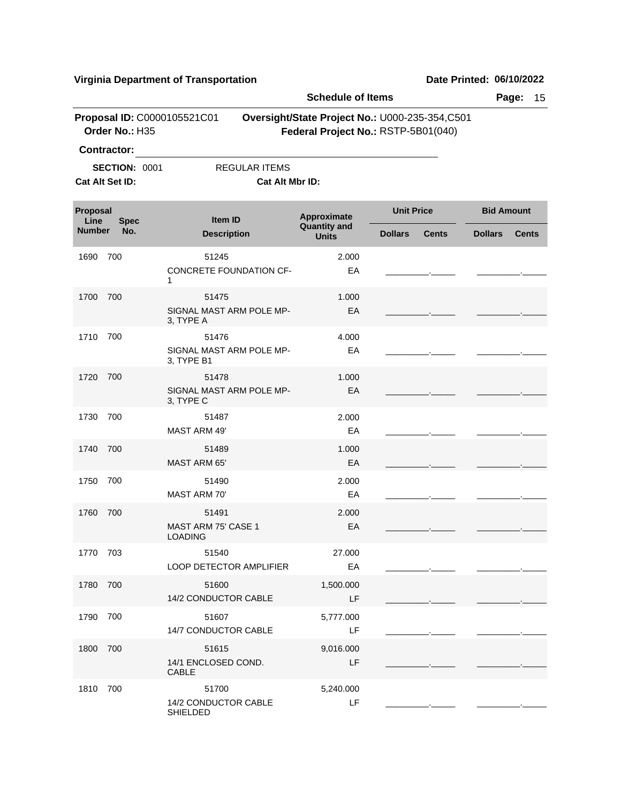|                       |                                         |                                                 | <b>Schedule of Items</b>            |                                                                                       | Page:<br>15       |              |
|-----------------------|-----------------------------------------|-------------------------------------------------|-------------------------------------|---------------------------------------------------------------------------------------|-------------------|--------------|
|                       | Order No.: H35<br><b>Contractor:</b>    | Proposal ID: C0000105521C01                     |                                     | Oversight/State Project No.: U000-235-354,C501<br>Federal Project No.: RSTP-5B01(040) |                   |              |
|                       | <b>SECTION: 0001</b><br>Cat Alt Set ID: | <b>REGULAR ITEMS</b><br>Cat Alt Mbr ID:         |                                     |                                                                                       |                   |              |
| Proposal              |                                         | Item ID                                         | Approximate                         | <b>Unit Price</b>                                                                     | <b>Bid Amount</b> |              |
| Line<br><b>Number</b> | <b>Spec</b><br>No.                      | <b>Description</b>                              | <b>Quantity and</b><br><b>Units</b> | <b>Dollars</b><br><b>Cents</b>                                                        | <b>Dollars</b>    | <b>Cents</b> |
| 1690                  | 700                                     | 51245<br>CONCRETE FOUNDATION CF-<br>1           | 2.000<br>EA                         |                                                                                       |                   |              |
| 1700                  | 700                                     | 51475<br>SIGNAL MAST ARM POLE MP-<br>3, TYPE A  | 1.000<br>EA                         |                                                                                       |                   |              |
| 1710                  | 700                                     | 51476<br>SIGNAL MAST ARM POLE MP-<br>3, TYPE B1 | 4.000<br>EA                         |                                                                                       |                   |              |
| 1720                  | 700                                     | 51478<br>SIGNAL MAST ARM POLE MP-<br>3, TYPE C  | 1.000<br>EA                         |                                                                                       |                   |              |
| 1730                  | 700                                     | 51487<br><b>MAST ARM 49'</b>                    | 2.000<br>EA                         |                                                                                       |                   |              |
| 1740                  | 700                                     | 51489<br>MAST ARM 65'                           | 1.000<br>EA                         |                                                                                       |                   |              |
| 1750                  | 700                                     | 51490<br><b>MAST ARM 70'</b>                    | 2.000<br>EA                         |                                                                                       |                   |              |
| 1760                  | 700                                     | 51491<br>MAST ARM 75' CASE 1<br><b>LOADING</b>  | 2.000<br>EA                         |                                                                                       |                   |              |
| 1770 703              |                                         | 51540<br>LOOP DETECTOR AMPLIFIER                | 27.000<br>EA                        |                                                                                       |                   |              |
| 1780                  | 700                                     | 51600<br>14/2 CONDUCTOR CABLE                   | 1,500.000<br>LF                     |                                                                                       |                   |              |
| 1790                  | 700                                     | 51607<br>14/7 CONDUCTOR CABLE                   | 5,777.000<br>LF                     |                                                                                       |                   |              |
| 1800                  | 700                                     | 51615<br>14/1 ENCLOSED COND.<br><b>CABLE</b>    | 9,016.000<br>LF                     |                                                                                       |                   |              |
| 1810                  | 700                                     | 51700<br>14/2 CONDUCTOR CABLE<br>SHIELDED       | 5,240.000<br>LF                     |                                                                                       |                   |              |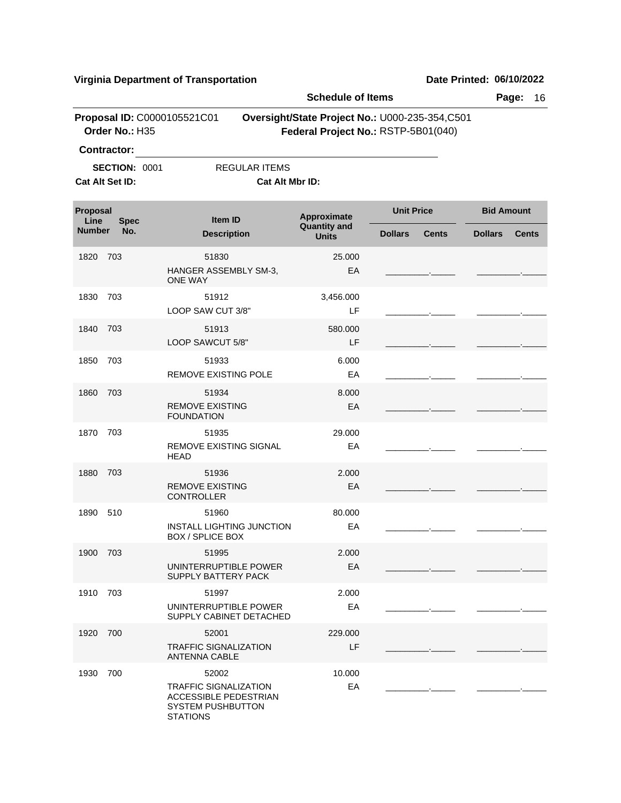| Virginia Department of Transportation         |                                            |                                                                      |                                                                                       |                                | Date Printed: 06/10/2022       |  |  |
|-----------------------------------------------|--------------------------------------------|----------------------------------------------------------------------|---------------------------------------------------------------------------------------|--------------------------------|--------------------------------|--|--|
|                                               |                                            |                                                                      |                                                                                       | <b>Schedule of Items</b>       |                                |  |  |
| Proposal ID: C0000105521C01<br>Order No.: H35 |                                            |                                                                      | Oversight/State Project No.: U000-235-354,C501<br>Federal Project No.: RSTP-5B01(040) |                                |                                |  |  |
|                                               | <b>Contractor:</b><br><b>SECTION: 0001</b> | <b>REGULAR ITEMS</b>                                                 |                                                                                       |                                |                                |  |  |
|                                               | Cat Alt Set ID:                            |                                                                      | Cat Alt Mbr ID:                                                                       |                                |                                |  |  |
| Proposal<br>Line                              | <b>Spec</b>                                | <b>Item ID</b>                                                       | Approximate                                                                           | <b>Unit Price</b>              | <b>Bid Amount</b>              |  |  |
| <b>Number</b>                                 | No.                                        | <b>Description</b>                                                   | <b>Quantity and</b><br><b>Units</b>                                                   | <b>Dollars</b><br><b>Cents</b> | <b>Dollars</b><br><b>Cents</b> |  |  |
| 1820                                          | 703                                        | 51830<br>HANGER ASSEMBLY SM-3,<br><b>ONE WAY</b>                     | 25.000<br>EA                                                                          |                                |                                |  |  |
| 1830                                          | 703                                        | 51912<br>LOOP SAW CUT 3/8"                                           | 3,456.000<br>LF                                                                       |                                |                                |  |  |
| 1840                                          | 703                                        | 51913<br>LOOP SAWCUT 5/8"                                            | 580.000<br>LF                                                                         |                                |                                |  |  |
| 1850                                          | 703                                        | 51933<br><b>REMOVE EXISTING POLE</b>                                 | 6.000<br>EA                                                                           |                                |                                |  |  |
| 1860                                          | 703                                        | 51934<br><b>REMOVE EXISTING</b><br><b>FOUNDATION</b>                 | 8.000<br>EA                                                                           |                                |                                |  |  |
| 1870                                          | 703                                        | 51935<br>REMOVE EXISTING SIGNAL<br>HEAD                              | 29.000<br>EA                                                                          |                                |                                |  |  |
| 1880                                          | 703                                        | 51936<br><b>REMOVE EXISTING</b><br><b>CONTROLLER</b>                 | 2.000<br>EA                                                                           |                                |                                |  |  |
| 1890                                          | 510                                        | 51960<br><b>INSTALL LIGHTING JUNCTION</b><br><b>BOX / SPLICE BOX</b> | 80.000<br>EA                                                                          |                                |                                |  |  |
| 1900                                          | 703                                        | 51995<br>UNINTERRUPTIBLE POWER<br>SUPPLY BATTERY PACK                | 2.000<br>EA                                                                           |                                |                                |  |  |
| 1910                                          | 703                                        | 51997<br>UNINTERRUPTIBLE POWER<br>SUPPLY CABINET DETACHED            | 2.000<br>EA                                                                           |                                |                                |  |  |
| 1920 700                                      |                                            | 52001                                                                | 229.000                                                                               |                                |                                |  |  |

LF

EA 10.000 \_\_\_\_\_\_\_\_\_.\_\_\_\_\_ \_\_\_\_\_\_\_\_\_.\_\_\_\_\_

\_\_\_\_\_\_\_\_\_.\_\_\_\_\_ \_\_\_\_\_\_\_\_\_.\_\_\_\_\_

TRAFFIC SIGNALIZATION ANTENNA CABLE

TRAFFIC SIGNALIZATION ACCESSIBLE PEDESTRIAN SYSTEM PUSHBUTTON

STATIONS

1930 52002 700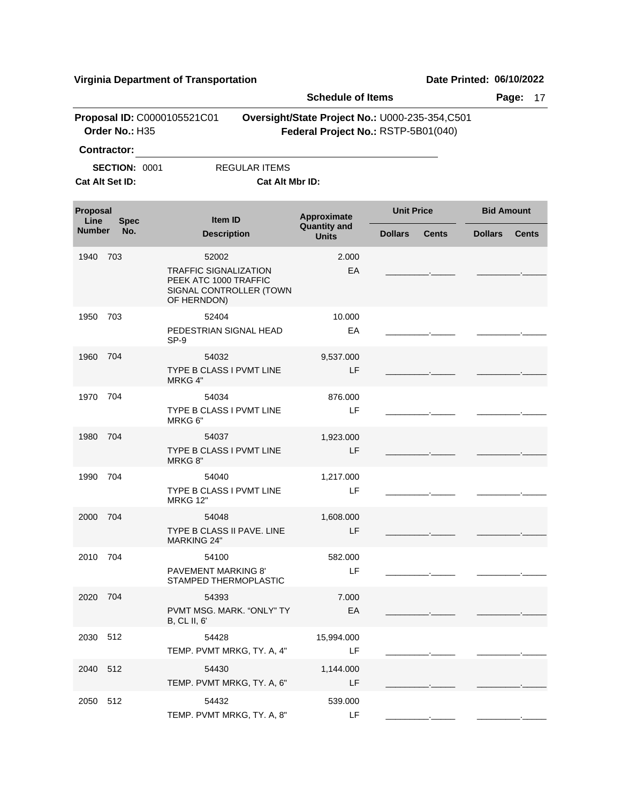| <b>Schedule of Items</b>                                                                                                                                     |                                         |                                                                                                          |                                     |                                |                                |  |  |
|--------------------------------------------------------------------------------------------------------------------------------------------------------------|-----------------------------------------|----------------------------------------------------------------------------------------------------------|-------------------------------------|--------------------------------|--------------------------------|--|--|
| Proposal ID: C0000105521C01<br>Oversight/State Project No.: U000-235-354,C501<br>Order No.: H35<br>Federal Project No.: RSTP-5B01(040)<br><b>Contractor:</b> |                                         |                                                                                                          |                                     |                                |                                |  |  |
|                                                                                                                                                              | <b>SECTION: 0001</b><br>Cat Alt Set ID: | <b>REGULAR ITEMS</b><br>Cat Alt Mbr ID:                                                                  |                                     |                                |                                |  |  |
| Proposal<br>Line                                                                                                                                             | <b>Spec</b>                             | <b>Item ID</b>                                                                                           | Approximate                         | <b>Unit Price</b>              | <b>Bid Amount</b>              |  |  |
| <b>Number</b>                                                                                                                                                | No.                                     | <b>Description</b>                                                                                       | <b>Quantity and</b><br><b>Units</b> | <b>Dollars</b><br><b>Cents</b> | <b>Dollars</b><br><b>Cents</b> |  |  |
| 1940                                                                                                                                                         | 703                                     | 52002<br><b>TRAFFIC SIGNALIZATION</b><br>PEEK ATC 1000 TRAFFIC<br>SIGNAL CONTROLLER (TOWN<br>OF HERNDON) | 2.000<br>EA                         |                                |                                |  |  |
| 1950                                                                                                                                                         | 703                                     | 52404<br>PEDESTRIAN SIGNAL HEAD<br>SP-9                                                                  | 10.000<br>EA                        |                                |                                |  |  |
| 1960                                                                                                                                                         | 704                                     | 54032<br>TYPE B CLASS I PVMT LINE<br>MRKG 4"                                                             | 9,537.000<br>LF                     |                                |                                |  |  |
| 1970                                                                                                                                                         | 704                                     | 54034<br>TYPE B CLASS I PVMT LINE<br>MRKG 6"                                                             | 876.000<br>LF                       |                                |                                |  |  |
| 1980                                                                                                                                                         | 704                                     | 54037<br>TYPE B CLASS I PVMT LINE<br>MRKG 8"                                                             | 1,923.000<br>LF                     |                                |                                |  |  |
| 1990                                                                                                                                                         | 704                                     | 54040<br>TYPE B CLASS I PVMT LINE<br><b>MRKG 12"</b>                                                     | 1,217.000<br>LF                     |                                |                                |  |  |
| 2000                                                                                                                                                         | 704                                     | 54048<br>TYPE B CLASS II PAVE. LINE<br><b>MARKING 24"</b>                                                | 1,608.000<br>LF                     |                                |                                |  |  |
| 2010 704                                                                                                                                                     |                                         | 54100<br><b>PAVEMENT MARKING 8'</b><br>STAMPED THERMOPLASTIC                                             | 582.000<br>LF                       |                                |                                |  |  |
| 2020                                                                                                                                                         | 704                                     | 54393<br>PVMT MSG. MARK. "ONLY" TY<br>B, CL II, 6'                                                       | 7.000<br>EA                         |                                |                                |  |  |
| 2030 512                                                                                                                                                     |                                         | 54428<br>TEMP. PVMT MRKG, TY. A, 4"                                                                      | 15,994.000<br>LF                    |                                |                                |  |  |
| 2040 512                                                                                                                                                     |                                         | 54430<br>TEMP. PVMT MRKG, TY. A, 6"                                                                      | 1,144.000<br>LF                     |                                |                                |  |  |
| 2050 512                                                                                                                                                     |                                         | 54432<br>TEMP. PVMT MRKG, TY. A, 8"                                                                      | 539.000<br>LF                       |                                |                                |  |  |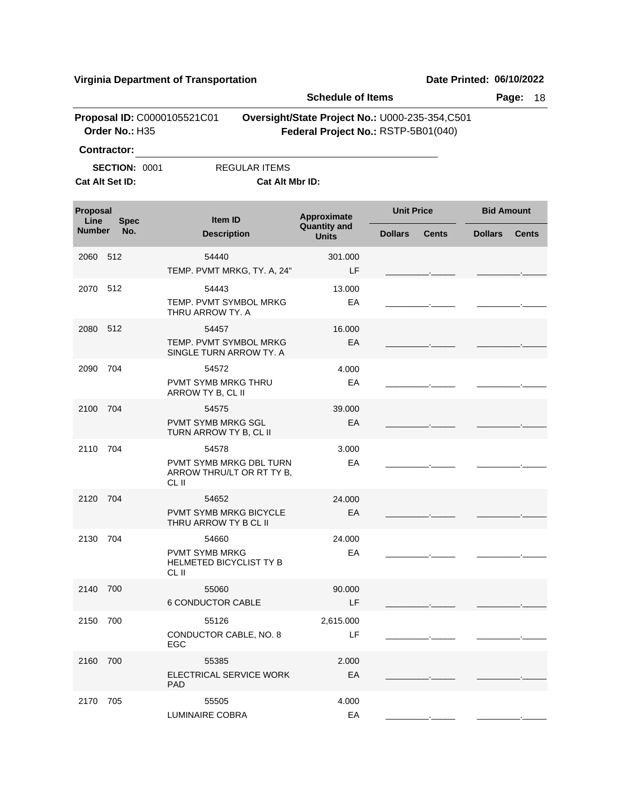|                  |                      |                                                                      | <b>Schedule of Items</b>                                                              |                   |              |                   | Page:<br>18  |
|------------------|----------------------|----------------------------------------------------------------------|---------------------------------------------------------------------------------------|-------------------|--------------|-------------------|--------------|
|                  | Order No.: H35       | Proposal ID: C0000105521C01                                          | Oversight/State Project No.: U000-235-354,C501<br>Federal Project No.: RSTP-5B01(040) |                   |              |                   |              |
|                  | <b>Contractor:</b>   |                                                                      |                                                                                       |                   |              |                   |              |
|                  | <b>SECTION: 0001</b> | <b>REGULAR ITEMS</b>                                                 |                                                                                       |                   |              |                   |              |
|                  | Cat Alt Set ID:      | Cat Alt Mbr ID:                                                      |                                                                                       |                   |              |                   |              |
| Proposal<br>Line | <b>Spec</b>          | Item ID                                                              | Approximate<br><b>Quantity and</b>                                                    | <b>Unit Price</b> |              | <b>Bid Amount</b> |              |
| <b>Number</b>    | No.                  | <b>Description</b>                                                   | <b>Units</b>                                                                          | <b>Dollars</b>    | <b>Cents</b> | <b>Dollars</b>    | <b>Cents</b> |
| 2060             | 512                  | 54440<br>TEMP. PVMT MRKG, TY. A, 24"                                 | 301.000<br>LF                                                                         |                   |              |                   |              |
| 2070             | 512                  | 54443                                                                | 13.000                                                                                |                   |              |                   |              |
|                  |                      | TEMP. PVMT SYMBOL MRKG<br>THRU ARROW TY. A                           | EA                                                                                    |                   |              |                   |              |
| 2080             | 512                  | 54457                                                                | 16.000                                                                                |                   |              |                   |              |
|                  |                      | TEMP. PVMT SYMBOL MRKG<br>SINGLE TURN ARROW TY, A                    | EA                                                                                    |                   |              |                   |              |
| 2090             | 704                  | 54572                                                                | 4.000                                                                                 |                   |              |                   |              |
|                  |                      | PVMT SYMB MRKG THRU<br>ARROW TY B, CL II                             | EA                                                                                    |                   |              |                   |              |
| 2100             | 704                  | 54575                                                                | 39,000                                                                                |                   |              |                   |              |
|                  |                      | <b>PVMT SYMB MRKG SGL</b><br>TURN ARROW TY B, CL II                  | EA                                                                                    |                   |              |                   |              |
| 2110             | 704                  | 54578                                                                | 3.000                                                                                 |                   |              |                   |              |
|                  |                      | <b>PVMT SYMB MRKG DBL TURN</b><br>ARROW THRU/LT OR RT TY B,<br>CL II | EA                                                                                    |                   |              |                   |              |
| 2120             | 704                  | 54652                                                                | 24.000                                                                                |                   |              |                   |              |
|                  |                      | PVMT SYMB MRKG BICYCLE<br>THRU ARROW TY B CL II                      | EA                                                                                    |                   |              |                   |              |
| 2130             | 704                  | 54660                                                                | 24.000                                                                                |                   |              |                   |              |
|                  |                      | <b>PVMT SYMB MRKG</b><br><b>HELMETED BICYCLIST TY B</b><br>CL II     | EA                                                                                    |                   |              |                   |              |
| 2140 700         |                      | 55060                                                                | 90.000                                                                                |                   |              |                   |              |
|                  |                      | <b>6 CONDUCTOR CABLE</b>                                             | LF                                                                                    |                   |              |                   |              |
| 2150             | 700                  | 55126                                                                | 2,615.000                                                                             |                   |              |                   |              |
|                  |                      | CONDUCTOR CABLE, NO. 8<br><b>EGC</b>                                 | LF                                                                                    |                   |              |                   |              |
| 2160 700         |                      | 55385                                                                | 2.000                                                                                 |                   |              |                   |              |
|                  |                      | ELECTRICAL SERVICE WORK<br><b>PAD</b>                                | EA                                                                                    |                   |              |                   |              |
| 2170             | 705                  | 55505                                                                | 4.000                                                                                 |                   |              |                   |              |
|                  |                      | LUMINAIRE COBRA                                                      | EA                                                                                    |                   |              |                   |              |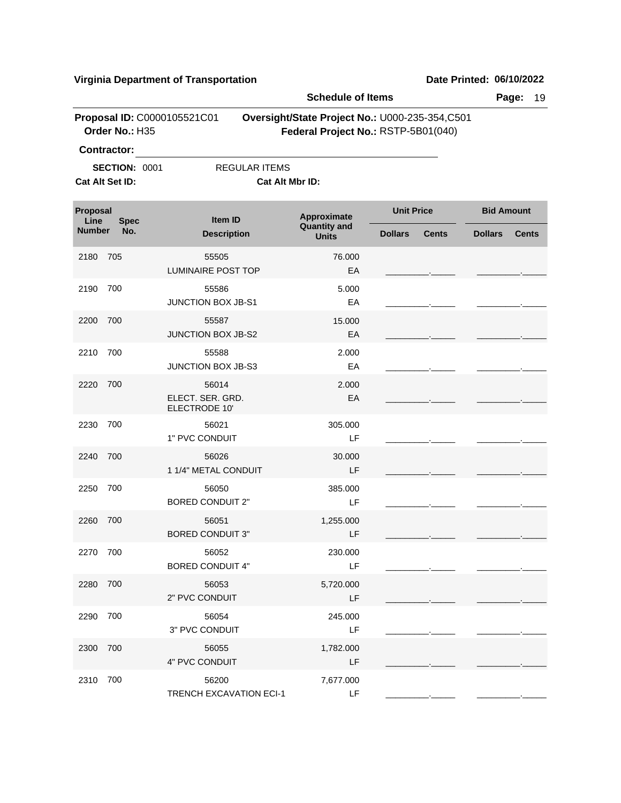| <b>Schedule of Items</b> |                                                               |                                            |                                                                                       |                   |              |                   | Page:<br>19  |
|--------------------------|---------------------------------------------------------------|--------------------------------------------|---------------------------------------------------------------------------------------|-------------------|--------------|-------------------|--------------|
|                          | Order No.: H35                                                | Proposal ID: C0000105521C01                | Oversight/State Project No.: U000-235-354,C501<br>Federal Project No.: RSTP-5B01(040) |                   |              |                   |              |
|                          | <b>Contractor:</b><br><b>SECTION: 0001</b><br>Cat Alt Set ID: | <b>REGULAR ITEMS</b>                       | Cat Alt Mbr ID:                                                                       |                   |              |                   |              |
| <b>Proposal</b><br>Line  | <b>Spec</b>                                                   | Item ID                                    | Approximate                                                                           | <b>Unit Price</b> |              | <b>Bid Amount</b> |              |
| <b>Number</b><br>No.     |                                                               | <b>Description</b>                         | <b>Quantity and</b><br><b>Units</b>                                                   | <b>Dollars</b>    | <b>Cents</b> | <b>Dollars</b>    | <b>Cents</b> |
| 2180                     | 705                                                           | 55505<br><b>LUMINAIRE POST TOP</b>         | 76.000<br>EA                                                                          |                   |              |                   |              |
| 2190                     | 700                                                           | 55586<br>JUNCTION BOX JB-S1                | 5.000<br>EA                                                                           |                   |              |                   |              |
| 2200                     | 700                                                           | 55587<br><b>JUNCTION BOX JB-S2</b>         | 15.000<br>EA                                                                          |                   |              |                   |              |
| 2210                     | 700                                                           | 55588<br>JUNCTION BOX JB-S3                | 2.000<br>EA                                                                           |                   |              |                   |              |
| 2220                     | 700                                                           | 56014<br>ELECT. SER. GRD.<br>ELECTRODE 10' | 2.000<br>EA                                                                           |                   |              |                   |              |
| 2230                     | 700                                                           | 56021<br>1" PVC CONDUIT                    | 305.000<br>LF                                                                         |                   |              |                   |              |
| 2240                     | 700                                                           | 56026<br>1 1/4" METAL CONDUIT              | 30.000<br>LF                                                                          |                   |              |                   |              |
| 2250                     | 700                                                           | 56050<br><b>BORED CONDUIT 2"</b>           | 385.000<br>LF                                                                         |                   |              |                   |              |
| 2260                     | 700                                                           | 56051<br><b>BORED CONDUIT 3"</b>           | 1,255.000<br>LF                                                                       |                   |              |                   |              |
| 2270 700                 |                                                               | 56052<br><b>BORED CONDUIT 4"</b>           | 230.000<br>LF                                                                         |                   |              |                   |              |
| 2280 700                 |                                                               | 56053<br>2" PVC CONDUIT                    | 5,720.000<br>LF                                                                       |                   |              |                   |              |
| 2290                     | 700                                                           | 56054<br>3" PVC CONDUIT                    | 245.000<br>LF                                                                         |                   |              |                   |              |
| 2300 700                 |                                                               | 56055<br>4" PVC CONDUIT                    | 1,782.000<br>LF                                                                       |                   |              |                   |              |
| 2310                     | 700                                                           | 56200<br><b>TRENCH EXCAVATION ECI-1</b>    | 7,677.000<br>LF                                                                       |                   |              |                   |              |